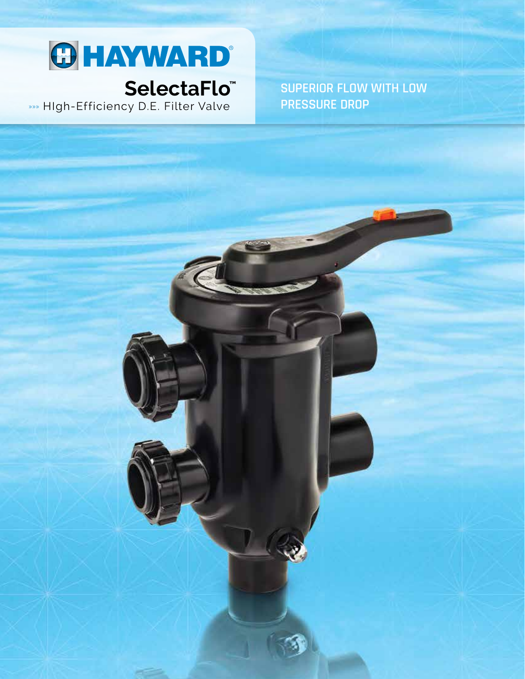

## SelectaFlo<sup>"</sup>

»» High-Efficiency D.E. Filter Valve

**SUPERIOR FLOW WITH LOW PRESSURE DROP**